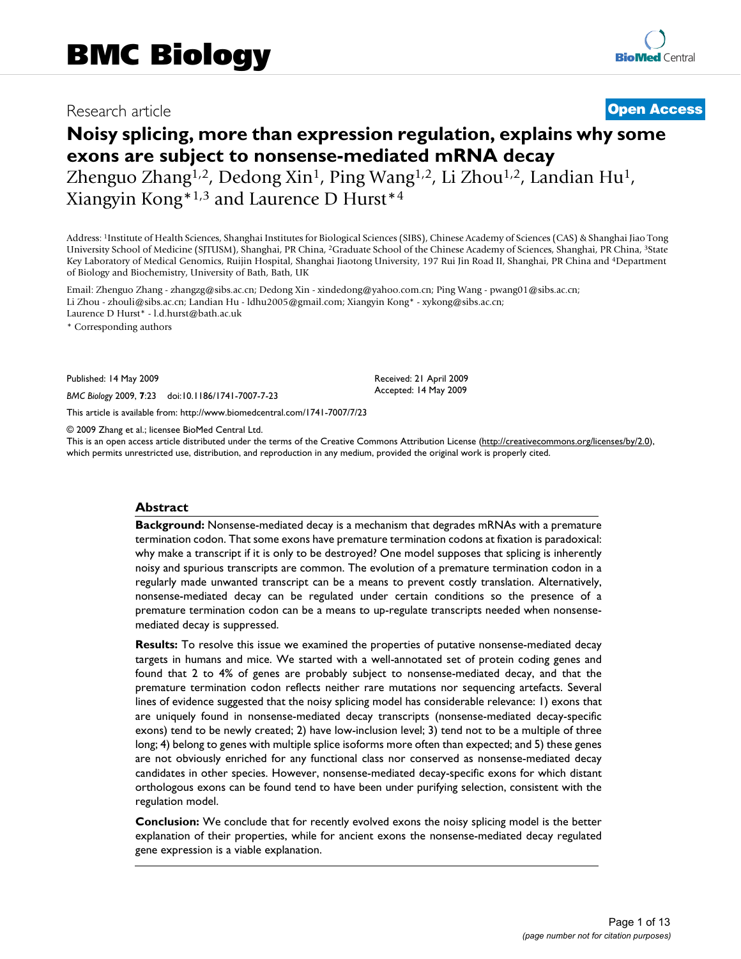# Research article **[Open Access](http://www.biomedcentral.com/info/about/charter/)**

# **Noisy splicing, more than expression regulation, explains why some exons are subject to nonsense-mediated mRNA decay** Zhenguo Zhang<sup>1,2</sup>, Dedong Xin<sup>1</sup>, Ping Wang<sup>1,2</sup>, Li Zhou<sup>1,2</sup>, Landian Hu<sup>1</sup>,

Xiangyin Kong\*1,3 and Laurence D Hurst\*4

Address: 1Institute of Health Sciences, Shanghai Institutes for Biological Sciences (SIBS), Chinese Academy of Sciences (CAS) & Shanghai Jiao Tong University School of Medicine (SJTUSM), Shanghai, PR China, 2Graduate School of the Chinese Academy of Sciences, Shanghai, PR China, 3State Key Laboratory of Medical Genomics, Ruijin Hospital, Shanghai Jiaotong University, 197 Rui Jin Road II, Shanghai, PR China and 4Department of Biology and Biochemistry, University of Bath, Bath, UK

Email: Zhenguo Zhang - zhangzg@sibs.ac.cn; Dedong Xin - xindedong@yahoo.com.cn; Ping Wang - pwang01@sibs.ac.cn; Li Zhou - zhouli@sibs.ac.cn; Landian Hu - ldhu2005@gmail.com; Xiangyin Kong\* - xykong@sibs.ac.cn; Laurence D Hurst\* - l.d.hurst@bath.ac.uk

\* Corresponding authors

Published: 14 May 2009

*BMC Biology* 2009, **7**:23 doi:10.1186/1741-7007-7-23

[This article is available from: http://www.biomedcentral.com/1741-7007/7/23](http://www.biomedcentral.com/1741-7007/7/23)

© 2009 Zhang et al.; licensee BioMed Central Ltd.

This is an open access article distributed under the terms of the Creative Commons Attribution License [\(http://creativecommons.org/licenses/by/2.0\)](http://creativecommons.org/licenses/by/2.0), which permits unrestricted use, distribution, and reproduction in any medium, provided the original work is properly cited.

Received: 21 April 2009 Accepted: 14 May 2009

### **Abstract**

**Background:** Nonsense-mediated decay is a mechanism that degrades mRNAs with a premature termination codon. That some exons have premature termination codons at fixation is paradoxical: why make a transcript if it is only to be destroyed? One model supposes that splicing is inherently noisy and spurious transcripts are common. The evolution of a premature termination codon in a regularly made unwanted transcript can be a means to prevent costly translation. Alternatively, nonsense-mediated decay can be regulated under certain conditions so the presence of a premature termination codon can be a means to up-regulate transcripts needed when nonsensemediated decay is suppressed.

**Results:** To resolve this issue we examined the properties of putative nonsense-mediated decay targets in humans and mice. We started with a well-annotated set of protein coding genes and found that 2 to 4% of genes are probably subject to nonsense-mediated decay, and that the premature termination codon reflects neither rare mutations nor sequencing artefacts. Several lines of evidence suggested that the noisy splicing model has considerable relevance: 1) exons that are uniquely found in nonsense-mediated decay transcripts (nonsense-mediated decay-specific exons) tend to be newly created; 2) have low-inclusion level; 3) tend not to be a multiple of three long; 4) belong to genes with multiple splice isoforms more often than expected; and 5) these genes are not obviously enriched for any functional class nor conserved as nonsense-mediated decay candidates in other species. However, nonsense-mediated decay-specific exons for which distant orthologous exons can be found tend to have been under purifying selection, consistent with the regulation model.

**Conclusion:** We conclude that for recently evolved exons the noisy splicing model is the better explanation of their properties, while for ancient exons the nonsense-mediated decay regulated gene expression is a viable explanation.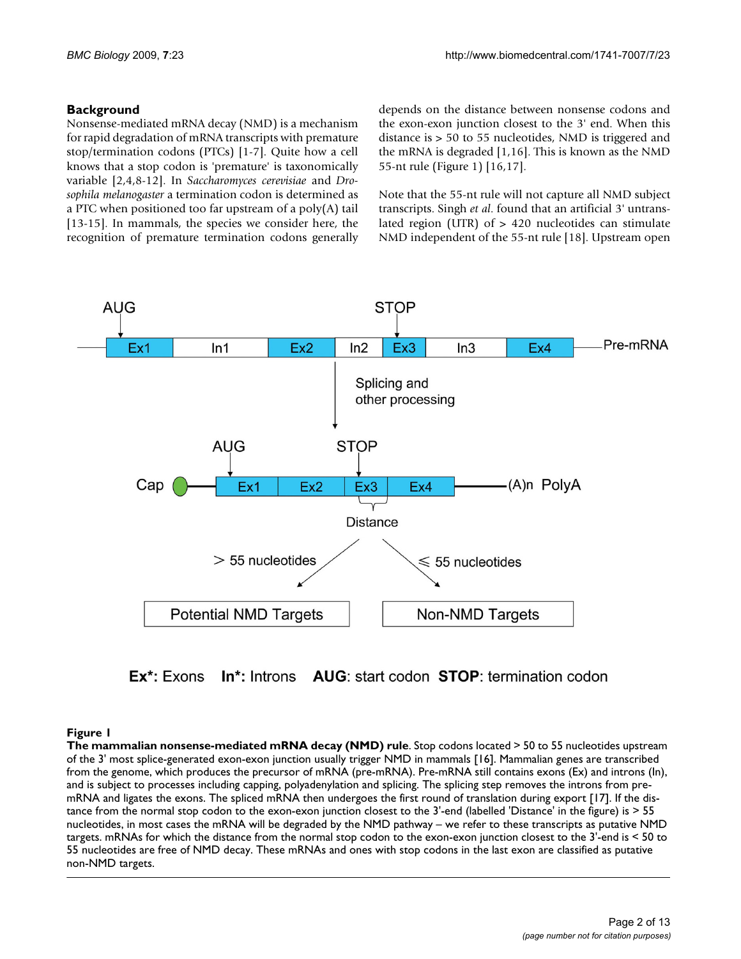### **Background**

Nonsense-mediated mRNA decay (NMD) is a mechanism for rapid degradation of mRNA transcripts with premature stop/termination codons (PTCs) [1-7]. Quite how a cell knows that a stop codon is 'premature' is taxonomically variable [2,4,8-12]. In *Saccharomyces cerevisiae* and *Drosophila melanogaster* a termination codon is determined as a PTC when positioned too far upstream of a poly(A) tail [13-15]. In mammals, the species we consider here, the recognition of premature termination codons generally depends on the distance between nonsense codons and the exon-exon junction closest to the 3' end. When this distance is > 50 to 55 nucleotides, NMD is triggered and the mRNA is degraded [1,16]. This is known as the NMD 55-nt rule (Figure 1) [16,17].

Note that the 55-nt rule will not capture all NMD subject transcripts. Singh *et al*. found that an artificial 3' untranslated region (UTR) of > 420 nucleotides can stimulate NMD independent of the 55-nt rule [18]. Upstream open



Ex<sup>\*</sup>: Exons **In\*:** Introns **AUG**: start codon **STOP**: termination codon

### Figure 1

**The mammalian nonsense-mediated mRNA decay (NMD) rule**. Stop codons located > 50 to 55 nucleotides upstream of the 3' most splice-generated exon-exon junction usually trigger NMD in mammals [16]. Mammalian genes are transcribed from the genome, which produces the precursor of mRNA (pre-mRNA). Pre-mRNA still contains exons (Ex) and introns (In), and is subject to processes including capping, polyadenylation and splicing. The splicing step removes the introns from premRNA and ligates the exons. The spliced mRNA then undergoes the first round of translation during export [17]. If the distance from the normal stop codon to the exon-exon junction closest to the 3'-end (labelled 'Distance' in the figure) is > 55 nucleotides, in most cases the mRNA will be degraded by the NMD pathway – we refer to these transcripts as putative NMD targets. mRNAs for which the distance from the normal stop codon to the exon-exon junction closest to the 3'-end is < 50 to 55 nucleotides are free of NMD decay. These mRNAs and ones with stop codons in the last exon are classified as putative non-NMD targets.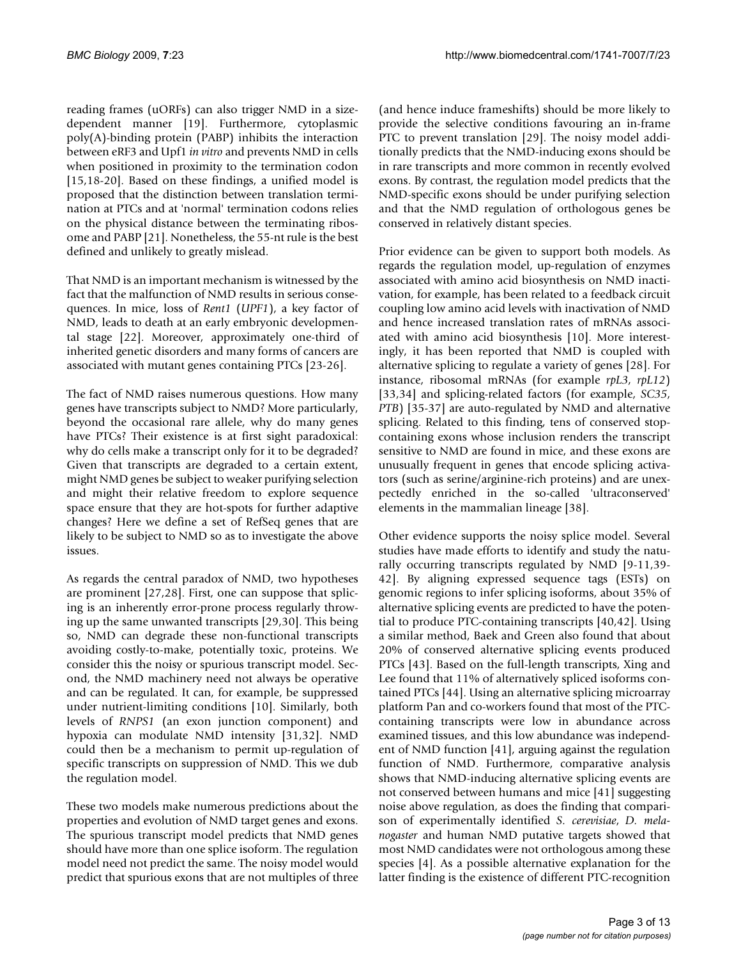reading frames (uORFs) can also trigger NMD in a sizedependent manner [19]. Furthermore, cytoplasmic poly(A)-binding protein (PABP) inhibits the interaction between eRF3 and Upf1 *in vitro* and prevents NMD in cells when positioned in proximity to the termination codon [15,18-20]. Based on these findings, a unified model is proposed that the distinction between translation termination at PTCs and at 'normal' termination codons relies on the physical distance between the terminating ribosome and PABP [21]. Nonetheless, the 55-nt rule is the best defined and unlikely to greatly mislead.

That NMD is an important mechanism is witnessed by the fact that the malfunction of NMD results in serious consequences. In mice, loss of *Rent1* (*UPF1*), a key factor of NMD, leads to death at an early embryonic developmental stage [22]. Moreover, approximately one-third of inherited genetic disorders and many forms of cancers are associated with mutant genes containing PTCs [23-26].

The fact of NMD raises numerous questions. How many genes have transcripts subject to NMD? More particularly, beyond the occasional rare allele, why do many genes have PTCs? Their existence is at first sight paradoxical: why do cells make a transcript only for it to be degraded? Given that transcripts are degraded to a certain extent, might NMD genes be subject to weaker purifying selection and might their relative freedom to explore sequence space ensure that they are hot-spots for further adaptive changes? Here we define a set of RefSeq genes that are likely to be subject to NMD so as to investigate the above issues.

As regards the central paradox of NMD, two hypotheses are prominent [27,28]. First, one can suppose that splicing is an inherently error-prone process regularly throwing up the same unwanted transcripts [29,30]. This being so, NMD can degrade these non-functional transcripts avoiding costly-to-make, potentially toxic, proteins. We consider this the noisy or spurious transcript model. Second, the NMD machinery need not always be operative and can be regulated. It can, for example, be suppressed under nutrient-limiting conditions [10]. Similarly, both levels of *RNPS1* (an exon junction component) and hypoxia can modulate NMD intensity [31,32]. NMD could then be a mechanism to permit up-regulation of specific transcripts on suppression of NMD. This we dub the regulation model.

These two models make numerous predictions about the properties and evolution of NMD target genes and exons. The spurious transcript model predicts that NMD genes should have more than one splice isoform. The regulation model need not predict the same. The noisy model would predict that spurious exons that are not multiples of three

(and hence induce frameshifts) should be more likely to provide the selective conditions favouring an in-frame PTC to prevent translation [29]. The noisy model additionally predicts that the NMD-inducing exons should be in rare transcripts and more common in recently evolved exons. By contrast, the regulation model predicts that the NMD-specific exons should be under purifying selection and that the NMD regulation of orthologous genes be conserved in relatively distant species.

Prior evidence can be given to support both models. As regards the regulation model, up-regulation of enzymes associated with amino acid biosynthesis on NMD inactivation, for example, has been related to a feedback circuit coupling low amino acid levels with inactivation of NMD and hence increased translation rates of mRNAs associated with amino acid biosynthesis [10]. More interestingly, it has been reported that NMD is coupled with alternative splicing to regulate a variety of genes [28]. For instance, ribosomal mRNAs (for example *rpL3*, *rpL12*) [33,34] and splicing-related factors (for example, *SC35*, *PTB*) [35-37] are auto-regulated by NMD and alternative splicing. Related to this finding, tens of conserved stopcontaining exons whose inclusion renders the transcript sensitive to NMD are found in mice, and these exons are unusually frequent in genes that encode splicing activators (such as serine/arginine-rich proteins) and are unexpectedly enriched in the so-called 'ultraconserved' elements in the mammalian lineage [38].

Other evidence supports the noisy splice model. Several studies have made efforts to identify and study the naturally occurring transcripts regulated by NMD [9-11,39- 42]. By aligning expressed sequence tags (ESTs) on genomic regions to infer splicing isoforms, about 35% of alternative splicing events are predicted to have the potential to produce PTC-containing transcripts [40,42]. Using a similar method, Baek and Green also found that about 20% of conserved alternative splicing events produced PTCs [43]. Based on the full-length transcripts, Xing and Lee found that 11% of alternatively spliced isoforms contained PTCs [44]. Using an alternative splicing microarray platform Pan and co-workers found that most of the PTCcontaining transcripts were low in abundance across examined tissues, and this low abundance was independent of NMD function [41], arguing against the regulation function of NMD. Furthermore, comparative analysis shows that NMD-inducing alternative splicing events are not conserved between humans and mice [41] suggesting noise above regulation, as does the finding that comparison of experimentally identified *S. cerevisiae*, *D. melanogaster* and human NMD putative targets showed that most NMD candidates were not orthologous among these species [4]. As a possible alternative explanation for the latter finding is the existence of different PTC-recognition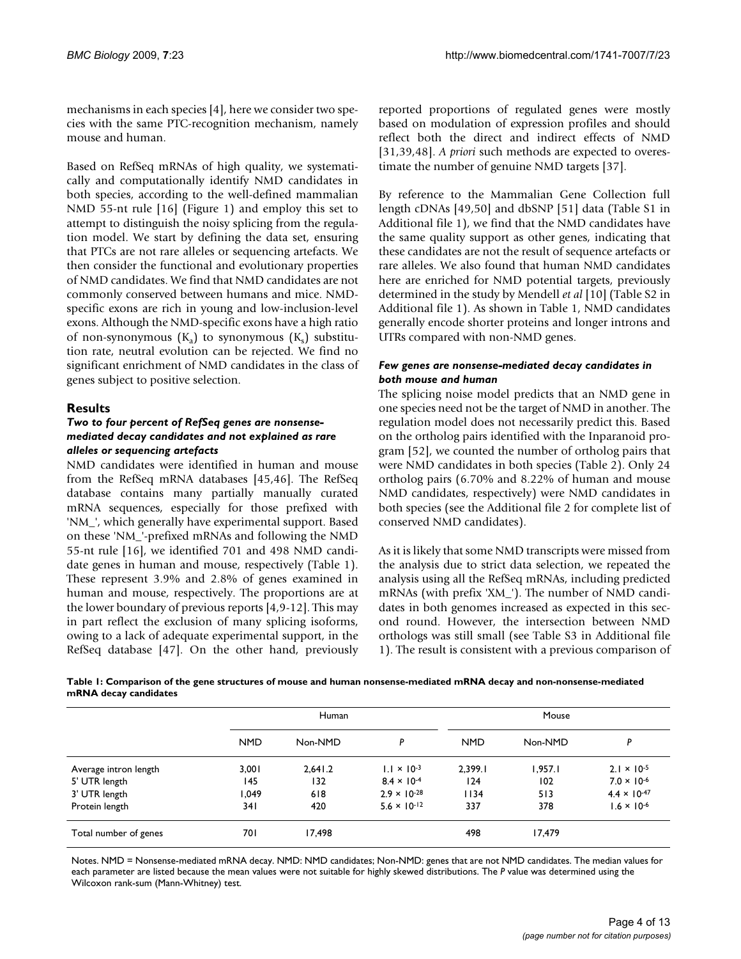mechanisms in each species [4], here we consider two species with the same PTC-recognition mechanism, namely mouse and human.

Based on RefSeq mRNAs of high quality, we systematically and computationally identify NMD candidates in both species, according to the well-defined mammalian NMD 55-nt rule [16] (Figure 1) and employ this set to attempt to distinguish the noisy splicing from the regulation model. We start by defining the data set, ensuring that PTCs are not rare alleles or sequencing artefacts. We then consider the functional and evolutionary properties of NMD candidates. We find that NMD candidates are not commonly conserved between humans and mice. NMDspecific exons are rich in young and low-inclusion-level exons. Although the NMD-specific exons have a high ratio of non-synonymous  $(K_a)$  to synonymous  $(K_s)$  substitution rate, neutral evolution can be rejected. We find no significant enrichment of NMD candidates in the class of genes subject to positive selection.

### **Results**

### *Two to four percent of RefSeq genes are nonsensemediated decay candidates and not explained as rare alleles or sequencing artefacts*

NMD candidates were identified in human and mouse from the RefSeq mRNA databases [45,46]. The RefSeq database contains many partially manually curated mRNA sequences, especially for those prefixed with 'NM\_', which generally have experimental support. Based on these 'NM\_'-prefixed mRNAs and following the NMD 55-nt rule [16], we identified 701 and 498 NMD candidate genes in human and mouse, respectively (Table 1). These represent 3.9% and 2.8% of genes examined in human and mouse, respectively. The proportions are at the lower boundary of previous reports [4,9-12]. This may in part reflect the exclusion of many splicing isoforms, owing to a lack of adequate experimental support, in the RefSeq database [47]. On the other hand, previously reported proportions of regulated genes were mostly based on modulation of expression profiles and should reflect both the direct and indirect effects of NMD [31,39,48]. *A priori* such methods are expected to overestimate the number of genuine NMD targets [37].

By reference to the Mammalian Gene Collection full length cDNAs [49,50] and dbSNP [51] data (Table S1 in Additional file 1), we find that the NMD candidates have the same quality support as other genes, indicating that these candidates are not the result of sequence artefacts or rare alleles. We also found that human NMD candidates here are enriched for NMD potential targets, previously determined in the study by Mendell *et al* [10] (Table S2 in Additional file 1). As shown in Table 1, NMD candidates generally encode shorter proteins and longer introns and UTRs compared with non-NMD genes.

### *Few genes are nonsense-mediated decay candidates in both mouse and human*

The splicing noise model predicts that an NMD gene in one species need not be the target of NMD in another. The regulation model does not necessarily predict this. Based on the ortholog pairs identified with the Inparanoid program [52], we counted the number of ortholog pairs that were NMD candidates in both species (Table 2). Only 24 ortholog pairs (6.70% and 8.22% of human and mouse NMD candidates, respectively) were NMD candidates in both species (see the Additional file 2 for complete list of conserved NMD candidates).

As it is likely that some NMD transcripts were missed from the analysis due to strict data selection, we repeated the analysis using all the RefSeq mRNAs, including predicted mRNAs (with prefix 'XM\_'). The number of NMD candidates in both genomes increased as expected in this second round. However, the intersection between NMD orthologs was still small (see Table S3 in Additional file 1). The result is consistent with a previous comparison of

**Table 1: Comparison of the gene structures of mouse and human nonsense-mediated mRNA decay and non-nonsense-mediated mRNA decay candidates**

|                       |            | Human   |                       |            | Mouse   |                       |  |  |
|-----------------------|------------|---------|-----------------------|------------|---------|-----------------------|--|--|
|                       | <b>NMD</b> | Non-NMD | P                     | <b>NMD</b> | Non-NMD | P                     |  |  |
| Average intron length | 3,001      | 2,641.2 | $1.1 \times 10^{-3}$  | 2,399.1    | I,957.I | $2.1 \times 10^{-5}$  |  |  |
| 5' UTR length         | 145        | 132     | $8.4 \times 10^{-4}$  | 124        | 102     | $7.0 \times 10^{-6}$  |  |  |
| 3' UTR length         | 1.049      | 618     | $2.9 \times 10^{-28}$ | 1134       | 513     | $4.4 \times 10^{-47}$ |  |  |
| Protein length        | 341        | 420     | $5.6 \times 10^{-12}$ | 337        | 378     | $1.6 \times 10^{-6}$  |  |  |
| Total number of genes | 701        | 17,498  |                       | 498        | 17,479  |                       |  |  |

Notes. NMD = Nonsense-mediated mRNA decay. NMD: NMD candidates; Non-NMD: genes that are not NMD candidates. The median values for each parameter are listed because the mean values were not suitable for highly skewed distributions. The *P* value was determined using the Wilcoxon rank-sum (Mann-Whitney) test.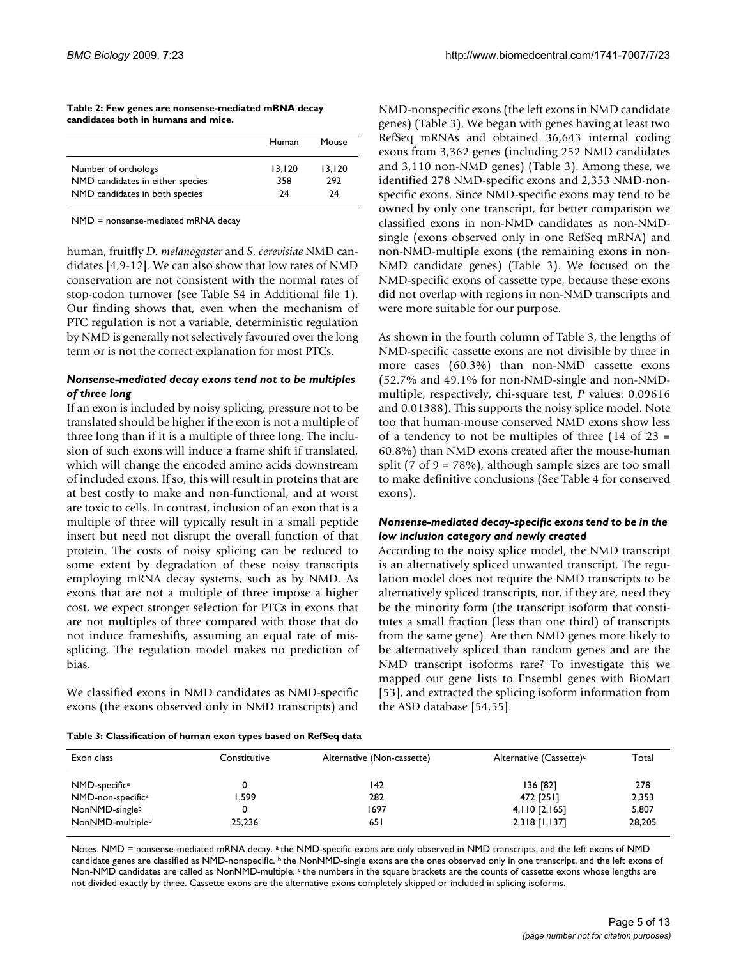| Table 2: Few genes are nonsense-mediated mRNA decay |  |
|-----------------------------------------------------|--|
| candidates both in humans and mice.                 |  |

|                                                         | Human         | Mouse         |
|---------------------------------------------------------|---------------|---------------|
| Number of orthologs<br>NMD candidates in either species | 13.120<br>358 | 13.120<br>292 |
| NMD candidates in both species                          | 24            | 24            |

NMD = nonsense-mediated mRNA decay

human, fruitfly *D. melanogaster* and *S. cerevisiae* NMD candidates [4,9-12]. We can also show that low rates of NMD conservation are not consistent with the normal rates of stop-codon turnover (see Table S4 in Additional file 1). Our finding shows that, even when the mechanism of PTC regulation is not a variable, deterministic regulation by NMD is generally not selectively favoured over the long term or is not the correct explanation for most PTCs.

### *Nonsense-mediated decay exons tend not to be multiples of three long*

If an exon is included by noisy splicing, pressure not to be translated should be higher if the exon is not a multiple of three long than if it is a multiple of three long. The inclusion of such exons will induce a frame shift if translated, which will change the encoded amino acids downstream of included exons. If so, this will result in proteins that are at best costly to make and non-functional, and at worst are toxic to cells. In contrast, inclusion of an exon that is a multiple of three will typically result in a small peptide insert but need not disrupt the overall function of that protein. The costs of noisy splicing can be reduced to some extent by degradation of these noisy transcripts employing mRNA decay systems, such as by NMD. As exons that are not a multiple of three impose a higher cost, we expect stronger selection for PTCs in exons that are not multiples of three compared with those that do not induce frameshifts, assuming an equal rate of missplicing. The regulation model makes no prediction of bias.

We classified exons in NMD candidates as NMD-specific exons (the exons observed only in NMD transcripts) and NMD-nonspecific exons (the left exons in NMD candidate genes) (Table 3). We began with genes having at least two RefSeq mRNAs and obtained 36,643 internal coding exons from 3,362 genes (including 252 NMD candidates and 3,110 non-NMD genes) (Table 3). Among these, we identified 278 NMD-specific exons and 2,353 NMD-nonspecific exons. Since NMD-specific exons may tend to be owned by only one transcript, for better comparison we classified exons in non-NMD candidates as non-NMDsingle (exons observed only in one RefSeq mRNA) and non-NMD-multiple exons (the remaining exons in non-NMD candidate genes) (Table 3). We focused on the NMD-specific exons of cassette type, because these exons did not overlap with regions in non-NMD transcripts and were more suitable for our purpose.

As shown in the fourth column of Table 3, the lengths of NMD-specific cassette exons are not divisible by three in more cases (60.3%) than non-NMD cassette exons (52.7% and 49.1% for non-NMD-single and non-NMDmultiple, respectively, chi-square test, *P* values: 0.09616 and 0.01388). This supports the noisy splice model. Note too that human-mouse conserved NMD exons show less of a tendency to not be multiples of three  $(14 \text{ of } 23 =$ 60.8%) than NMD exons created after the mouse-human split (7 of  $9 = 78\%$ ), although sample sizes are too small to make definitive conclusions (See Table 4 for conserved exons).

### *Nonsense-mediated decay-specific exons tend to be in the low inclusion category and newly created*

According to the noisy splice model, the NMD transcript is an alternatively spliced unwanted transcript. The regulation model does not require the NMD transcripts to be alternatively spliced transcripts, nor, if they are, need they be the minority form (the transcript isoform that constitutes a small fraction (less than one third) of transcripts from the same gene). Are then NMD genes more likely to be alternatively spliced than random genes and are the NMD transcript isoforms rare? To investigate this we mapped our gene lists to Ensembl genes with BioMart [53], and extracted the splicing isoform information from the ASD database [54,55].

#### **Table 3: Classification of human exon types based on RefSeq data**

| Exon class                                      | Constitutive | Alternative (Non-cassette) | Alternative (Cassette) <sup>c</sup> | Total          |
|-------------------------------------------------|--------------|----------------------------|-------------------------------------|----------------|
| NMD-specific <sup>a</sup>                       |              | 142                        | 136 [82]                            | 278            |
| NMD-non-specific <sup>a</sup><br>NonNMD-singleb | .599         | 282<br>1697                | 472 [251]<br>$4,110$ [2,165]        | 2,353<br>5,807 |
| NonNMD-multipleb                                | 25,236       | 65 I                       | $2,318$ [1,137]                     | 28,205         |

Notes. NMD = nonsense-mediated mRNA decay. <sup>a</sup> the NMD-specific exons are only observed in NMD transcripts, and the left exons of NMD candidate genes are classified as NMD-nonspecific. b the NonNMD-single exons are the ones observed only in one transcript, and the left exons of Non-NMD candidates are called as NonNMD-multiple. <sup>c</sup> the numbers in the square brackets are the counts of cassette exons whose lengths are not divided exactly by three. Cassette exons are the alternative exons completely skipped or included in splicing isoforms.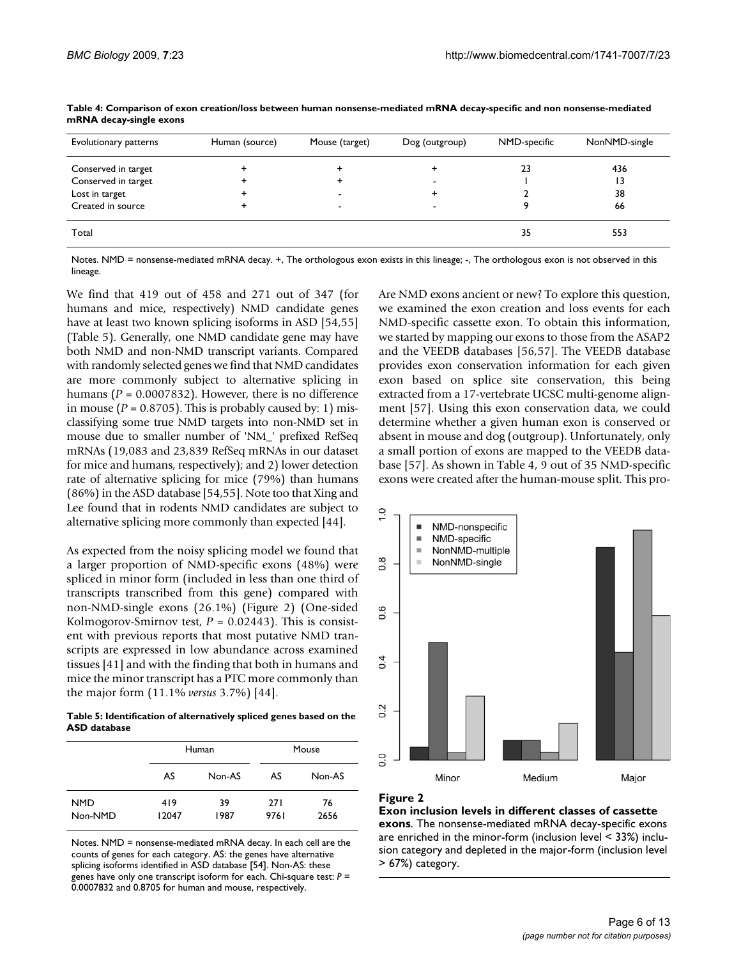| Evolutionary patterns | Human (source) | Mouse (target)           | Dog (outgroup) | NMD-specific | NonNMD-single |
|-----------------------|----------------|--------------------------|----------------|--------------|---------------|
| Conserved in target   |                |                          |                | 23           | 436           |
| Conserved in target   |                |                          | -              |              | 13            |
| Lost in target        |                |                          |                |              | 38            |
| Created in source     |                | $\overline{\phantom{0}}$ | -              |              | 66            |
| Total                 |                |                          |                | 35           | 553           |

**Table 4: Comparison of exon creation/loss between human nonsense-mediated mRNA decay-specific and non nonsense-mediated mRNA decay-single exons**

Notes. NMD = nonsense-mediated mRNA decay. +, The orthologous exon exists in this lineage; -, The orthologous exon is not observed in this lineage.

We find that 419 out of 458 and 271 out of 347 (for humans and mice, respectively) NMD candidate genes have at least two known splicing isoforms in ASD [54,55] (Table 5). Generally, one NMD candidate gene may have both NMD and non-NMD transcript variants. Compared with randomly selected genes we find that NMD candidates are more commonly subject to alternative splicing in humans (*P* = 0.0007832). However, there is no difference in mouse ( $P = 0.8705$ ). This is probably caused by: 1) misclassifying some true NMD targets into non-NMD set in mouse due to smaller number of 'NM\_' prefixed RefSeq mRNAs (19,083 and 23,839 RefSeq mRNAs in our dataset for mice and humans, respectively); and 2) lower detection rate of alternative splicing for mice (79%) than humans (86%) in the ASD database [54,55]. Note too that Xing and Lee found that in rodents NMD candidates are subject to alternative splicing more commonly than expected [44].

As expected from the noisy splicing model we found that a larger proportion of NMD-specific exons (48%) were spliced in minor form (included in less than one third of transcripts transcribed from this gene) compared with non-NMD-single exons (26.1%) (Figure 2) (One-sided Kolmogorov-Smirnov test, *P* = 0.02443). This is consistent with previous reports that most putative NMD transcripts are expressed in low abundance across examined tissues [41] and with the finding that both in humans and mice the minor transcript has a PTC more commonly than the major form (11.1% *versus* 3.7%) [44].

**Table 5: Identification of alternatively spliced genes based on the ASD database**

|                       |              | Human      |              | Mouse      |
|-----------------------|--------------|------------|--------------|------------|
|                       | AS           | Non-AS     | AS           | Non-AS     |
| <b>NMD</b><br>Non-NMD | 419<br>12047 | 39<br>1987 | 27 I<br>9761 | 76<br>2656 |

Notes. NMD = nonsense-mediated mRNA decay. In each cell are the counts of genes for each category. AS: the genes have alternative splicing isoforms identified in ASD database [54]. Non-AS: these genes have only one transcript isoform for each. Chi-square test: *P* = 0.0007832 and 0.8705 for human and mouse, respectively.

Are NMD exons ancient or new? To explore this question, we examined the exon creation and loss events for each NMD-specific cassette exon. To obtain this information, we started by mapping our exons to those from the ASAP2 and the VEEDB databases [56,57]. The VEEDB database provides exon conservation information for each given exon based on splice site conservation, this being extracted from a 17-vertebrate UCSC multi-genome alignment [57]. Using this exon conservation data, we could determine whether a given human exon is conserved or absent in mouse and dog (outgroup). Unfortunately, only a small portion of exons are mapped to the VEEDB database [57]. As shown in Table 4, 9 out of 35 NMD-specific exons were created after the human-mouse split. This pro-



### **Figure 2**

**Exon inclusion levels in different classes of cassette exons**. The nonsense-mediated mRNA decay-specific exons are enriched in the minor-form (inclusion level < 33%) inclusion category and depleted in the major-form (inclusion level > 67%) category.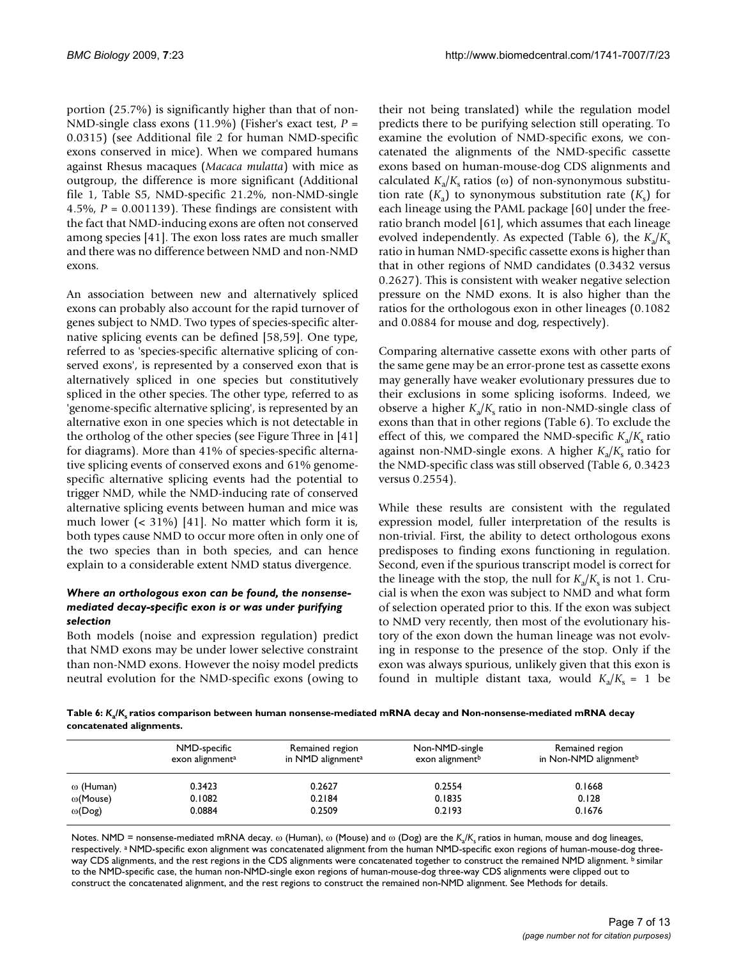portion (25.7%) is significantly higher than that of non-NMD-single class exons (11.9%) (Fisher's exact test, *P* = 0.0315) (see Additional file 2 for human NMD-specific exons conserved in mice). When we compared humans against Rhesus macaques (*Macaca mulatta*) with mice as outgroup, the difference is more significant (Additional file 1, Table S5, NMD-specific 21.2%, non-NMD-single 4.5%,  $P = 0.001139$ ). These findings are consistent with the fact that NMD-inducing exons are often not conserved among species [41]. The exon loss rates are much smaller and there was no difference between NMD and non-NMD exons.

An association between new and alternatively spliced exons can probably also account for the rapid turnover of genes subject to NMD. Two types of species-specific alternative splicing events can be defined [58,59]. One type, referred to as 'species-specific alternative splicing of conserved exons', is represented by a conserved exon that is alternatively spliced in one species but constitutively spliced in the other species. The other type, referred to as 'genome-specific alternative splicing', is represented by an alternative exon in one species which is not detectable in the ortholog of the other species (see Figure Three in [41] for diagrams). More than 41% of species-specific alternative splicing events of conserved exons and 61% genomespecific alternative splicing events had the potential to trigger NMD, while the NMD-inducing rate of conserved alternative splicing events between human and mice was much lower  $($  < 31% $)$  [41]. No matter which form it is, both types cause NMD to occur more often in only one of the two species than in both species, and can hence explain to a considerable extent NMD status divergence.

### *Where an orthologous exon can be found, the nonsensemediated decay-specific exon is or was under purifying selection*

Both models (noise and expression regulation) predict that NMD exons may be under lower selective constraint than non-NMD exons. However the noisy model predicts neutral evolution for the NMD-specific exons (owing to

their not being translated) while the regulation model predicts there to be purifying selection still operating. To examine the evolution of NMD-specific exons, we concatenated the alignments of the NMD-specific cassette exons based on human-mouse-dog CDS alignments and calculated  $K_a/K_s$  ratios (ω) of non-synonymous substitution rate  $(K_a)$  to synonymous substitution rate  $(K_s)$  for each lineage using the PAML package [60] under the freeratio branch model [61], which assumes that each lineage evolved independently. As expected (Table 6), the  $K_a/K_s$ ratio in human NMD-specific cassette exons is higher than that in other regions of NMD candidates (0.3432 versus 0.2627). This is consistent with weaker negative selection pressure on the NMD exons. It is also higher than the ratios for the orthologous exon in other lineages (0.1082 and 0.0884 for mouse and dog, respectively).

Comparing alternative cassette exons with other parts of the same gene may be an error-prone test as cassette exons may generally have weaker evolutionary pressures due to their exclusions in some splicing isoforms. Indeed, we observe a higher  $K_a/K_s$  ratio in non-NMD-single class of exons than that in other regions (Table 6). To exclude the effect of this, we compared the NMD-specific  $K_a/K_s$  ratio against non-NMD-single exons. A higher  $K_a/K_s$  ratio for the NMD-specific class was still observed (Table 6, 0.3423 versus 0.2554).

While these results are consistent with the regulated expression model, fuller interpretation of the results is non-trivial. First, the ability to detect orthologous exons predisposes to finding exons functioning in regulation. Second, even if the spurious transcript model is correct for the lineage with the stop, the null for  $K_a/K_s$  is not 1. Crucial is when the exon was subject to NMD and what form of selection operated prior to this. If the exon was subject to NMD very recently, then most of the evolutionary history of the exon down the human lineage was not evolving in response to the presence of the stop. Only if the exon was always spurious, unlikely given that this exon is found in multiple distant taxa, would  $K_a/K_s = 1$  be

**Table 6:** *K***a/***K***s ratios comparison between human nonsense-mediated mRNA decay and Non-nonsense-mediated mRNA decay concatenated alignments.**

|                  | NMD-specific<br>exon alignment <sup>a</sup> | Remained region<br>in NMD alignment <sup>a</sup> | Non-NMD-single<br>exon alignment <sup>b</sup> | Remained region<br>in Non-NMD alignment <sup>b</sup> |
|------------------|---------------------------------------------|--------------------------------------------------|-----------------------------------------------|------------------------------------------------------|
| $\omega$ (Human) | 0.3423                                      | 0.2627                                           | 0.2554                                        | 0.1668                                               |
| $\omega$ (Mouse) | 0.1082                                      | 0.2184                                           | 0.1835                                        | 0.128                                                |
| $\omega(Dog)$    | 0.0884                                      | 0.2509                                           | 0.2193                                        | 0.1676                                               |

Notes. NMD = nonsense-mediated mRNA decay. ω (Human), ω (Mouse) and ω (Dog) are the *K*a/*K*s ratios in human, mouse and dog lineages, respectively. a NMD-specific exon alignment was concatenated alignment from the human NMD-specific exon regions of human-mouse-dog threeway CDS alignments, and the rest regions in the CDS alignments were concatenated together to construct the remained NMD alignment. b similar to the NMD-specific case, the human non-NMD-single exon regions of human-mouse-dog three-way CDS alignments were clipped out to construct the concatenated alignment, and the rest regions to construct the remained non-NMD alignment. See Methods for details.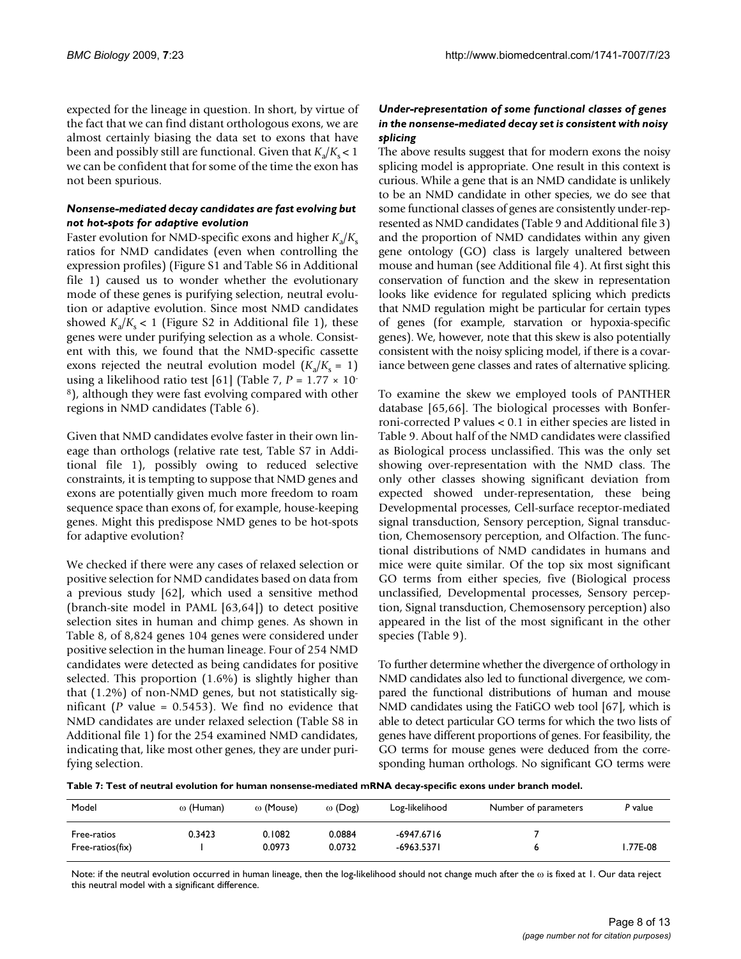expected for the lineage in question. In short, by virtue of the fact that we can find distant orthologous exons, we are almost certainly biasing the data set to exons that have been and possibly still are functional. Given that  $K_a/K_c < 1$ we can be confident that for some of the time the exon has not been spurious.

### *Nonsense-mediated decay candidates are fast evolving but not hot-spots for adaptive evolution*

Faster evolution for NMD-specific exons and higher  $K_a/K_s$ ratios for NMD candidates (even when controlling the expression profiles) (Figure S1 and Table S6 in Additional file 1) caused us to wonder whether the evolutionary mode of these genes is purifying selection, neutral evolution or adaptive evolution. Since most NMD candidates showed  $K_a/K_s < 1$  (Figure S2 in Additional file 1), these genes were under purifying selection as a whole. Consistent with this, we found that the NMD-specific cassette exons rejected the neutral evolution model  $(K_a/K_s = 1)$ using a likelihood ratio test [61] (Table 7,  $P = 1.77 \times 10^{-7}$ 8), although they were fast evolving compared with other regions in NMD candidates (Table 6).

Given that NMD candidates evolve faster in their own lineage than orthologs (relative rate test, Table S7 in Additional file 1), possibly owing to reduced selective constraints, it is tempting to suppose that NMD genes and exons are potentially given much more freedom to roam sequence space than exons of, for example, house-keeping genes. Might this predispose NMD genes to be hot-spots for adaptive evolution?

We checked if there were any cases of relaxed selection or positive selection for NMD candidates based on data from a previous study [62], which used a sensitive method (branch-site model in PAML [63,64]) to detect positive selection sites in human and chimp genes. As shown in Table 8, of 8,824 genes 104 genes were considered under positive selection in the human lineage. Four of 254 NMD candidates were detected as being candidates for positive selected. This proportion (1.6%) is slightly higher than that (1.2%) of non-NMD genes, but not statistically significant (*P* value = 0.5453). We find no evidence that NMD candidates are under relaxed selection (Table S8 in Additional file 1) for the 254 examined NMD candidates, indicating that, like most other genes, they are under purifying selection.

### *Under-representation of some functional classes of genes in the nonsense-mediated decay set is consistent with noisy splicing*

The above results suggest that for modern exons the noisy splicing model is appropriate. One result in this context is curious. While a gene that is an NMD candidate is unlikely to be an NMD candidate in other species, we do see that some functional classes of genes are consistently under-represented as NMD candidates (Table 9 and Additional file 3) and the proportion of NMD candidates within any given gene ontology (GO) class is largely unaltered between mouse and human (see Additional file 4). At first sight this conservation of function and the skew in representation looks like evidence for regulated splicing which predicts that NMD regulation might be particular for certain types of genes (for example, starvation or hypoxia-specific genes). We, however, note that this skew is also potentially consistent with the noisy splicing model, if there is a covariance between gene classes and rates of alternative splicing.

To examine the skew we employed tools of PANTHER database [65,66]. The biological processes with Bonferroni-corrected P values < 0.1 in either species are listed in Table 9. About half of the NMD candidates were classified as Biological process unclassified. This was the only set showing over-representation with the NMD class. The only other classes showing significant deviation from expected showed under-representation, these being Developmental processes, Cell-surface receptor-mediated signal transduction, Sensory perception, Signal transduction, Chemosensory perception, and Olfaction. The functional distributions of NMD candidates in humans and mice were quite similar. Of the top six most significant GO terms from either species, five (Biological process unclassified, Developmental processes, Sensory perception, Signal transduction, Chemosensory perception) also appeared in the list of the most significant in the other species (Table 9).

To further determine whether the divergence of orthology in NMD candidates also led to functional divergence, we compared the functional distributions of human and mouse NMD candidates using the FatiGO web tool [67], which is able to detect particular GO terms for which the two lists of genes have different proportions of genes. For feasibility, the GO terms for mouse genes were deduced from the corresponding human orthologs. No significant GO terms were

**Table 7: Test of neutral evolution for human nonsense-mediated mRNA decay-specific exons under branch model.**

| Model                           | $\omega$ (Human) | $\omega$ (Mouse) | $\omega$ (Dog)   | Log-likelihood           | Number of parameters | P value  |
|---------------------------------|------------------|------------------|------------------|--------------------------|----------------------|----------|
| Free-ratios<br>Free-ratios(fix) | 0.3423           | 0.1082<br>0.0973 | 0.0884<br>0.0732 | -6947.6716<br>-6963.5371 |                      | I.77E-08 |

Note: if the neutral evolution occurred in human lineage, then the log-likelihood should not change much after the ω is fixed at 1. Our data reject this neutral model with a significant difference.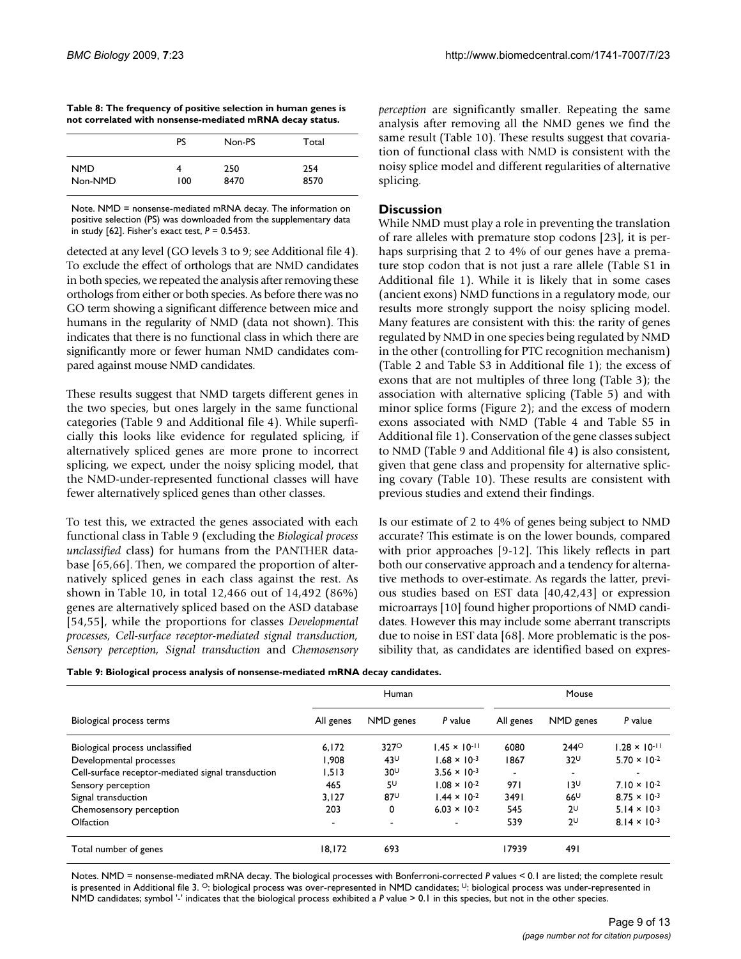| Table 8: The frequency of positive selection in human genes is |  |
|----------------------------------------------------------------|--|
| not correlated with nonsense-mediated mRNA decay status.       |  |

|            | PS  | Non-PS | Total |
|------------|-----|--------|-------|
| <b>NMD</b> | 100 | 250    | 254   |
| Non-NMD    |     | 8470   | 8570  |

Note. NMD = nonsense-mediated mRNA decay. The information on positive selection (PS) was downloaded from the supplementary data in study [62]. Fisher's exact test, *P* = 0.5453.

detected at any level (GO levels 3 to 9; see Additional file 4). To exclude the effect of orthologs that are NMD candidates in both species, we repeated the analysis after removing these orthologs from either or both species. As before there was no GO term showing a significant difference between mice and humans in the regularity of NMD (data not shown). This indicates that there is no functional class in which there are significantly more or fewer human NMD candidates compared against mouse NMD candidates.

These results suggest that NMD targets different genes in the two species, but ones largely in the same functional categories (Table 9 and Additional file 4). While superficially this looks like evidence for regulated splicing, if alternatively spliced genes are more prone to incorrect splicing, we expect, under the noisy splicing model, that the NMD-under-represented functional classes will have fewer alternatively spliced genes than other classes.

To test this, we extracted the genes associated with each functional class in Table 9 (excluding the *Biological process unclassified* class) for humans from the PANTHER database [65,66]. Then, we compared the proportion of alternatively spliced genes in each class against the rest. As shown in Table 10, in total 12,466 out of 14,492 (86%) genes are alternatively spliced based on the ASD database [54,55], while the proportions for classes *Developmental processes, Cell-surface receptor-mediated signal transduction, Sensory perception, Signal transduction* and *Chemosensory* *perception* are significantly smaller. Repeating the same analysis after removing all the NMD genes we find the same result (Table 10). These results suggest that covariation of functional class with NMD is consistent with the noisy splice model and different regularities of alternative splicing.

### **Discussion**

While NMD must play a role in preventing the translation of rare alleles with premature stop codons [23], it is perhaps surprising that 2 to 4% of our genes have a premature stop codon that is not just a rare allele (Table S1 in Additional file 1). While it is likely that in some cases (ancient exons) NMD functions in a regulatory mode, our results more strongly support the noisy splicing model. Many features are consistent with this: the rarity of genes regulated by NMD in one species being regulated by NMD in the other (controlling for PTC recognition mechanism) (Table 2 and Table S3 in Additional file 1); the excess of exons that are not multiples of three long (Table 3); the association with alternative splicing (Table 5) and with minor splice forms (Figure 2); and the excess of modern exons associated with NMD (Table 4 and Table S5 in Additional file 1). Conservation of the gene classes subject to NMD (Table 9 and Additional file 4) is also consistent, given that gene class and propensity for alternative splicing covary (Table 10). These results are consistent with previous studies and extend their findings.

Is our estimate of 2 to 4% of genes being subject to NMD accurate? This estimate is on the lower bounds, compared with prior approaches [9-12]. This likely reflects in part both our conservative approach and a tendency for alternative methods to over-estimate. As regards the latter, previous studies based on EST data [40,42,43] or expression microarrays [10] found higher proportions of NMD candidates. However this may include some aberrant transcripts due to noise in EST data [68]. More problematic is the possibility that, as candidates are identified based on expres-

**Table 9: Biological process analysis of nonsense-mediated mRNA decay candidates.**

|                                                    | Human     |                 |                          | Mouse     |                          |                        |  |
|----------------------------------------------------|-----------|-----------------|--------------------------|-----------|--------------------------|------------------------|--|
| Biological process terms                           | All genes | NMD genes       | P value                  | All genes | NMD genes                | P value                |  |
| Biological process unclassified                    | 6,172     | 3270            | $.45 \times 10^{-11}$    | 6080      | $244^\circ$              | $1.28 \times 10^{-11}$ |  |
| Developmental processes                            | 1.908     | $43^{\cup}$     | $1.68 \times 10^{-3}$    | 1867      | $32^{\cup}$              | $5.70 \times 10^{-2}$  |  |
| Cell-surface receptor-mediated signal transduction | 1.513     | 30 <sup>U</sup> | $3.56 \times 10^{-3}$    | ۰.        | $\overline{\phantom{a}}$ |                        |  |
| Sensory perception                                 | 465       | $5^{\text{U}}$  | $1.08 \times 10^{-2}$    | 971       | 13∪                      | $7.10 \times 10^{-2}$  |  |
| Signal transduction                                | 3.127     | $87^{\circ}$    | $1.44 \times 10^{-2}$    | 3491      | $66^{\cup}$              | $8.75 \times 10^{-3}$  |  |
| Chemosensory perception                            | 203       | 0               | $6.03 \times 10^{-2}$    | 545       | $2^{\cup}$               | $5.14 \times 10^{-3}$  |  |
| Olfaction                                          | ۰         | $\sim$          | $\overline{\phantom{a}}$ | 539       | $2^{\cup}$               | $8.14 \times 10^{-3}$  |  |
| Total number of genes                              | 18,172    | 693             |                          | 17939     | 491                      |                        |  |

Notes. NMD = nonsense-mediated mRNA decay. The biological processes with Bonferroni-corrected *P* values < 0.1 are listed; the complete result is presented in Additional file 3.  $\circ$ : biological process was over-represented in NMD candidates;  $\circ$ : biological process was under-represented in NMD candidates; symbol '-' indicates that the biological process exhibited a *P* value > 0.1 in this species, but not in the other species.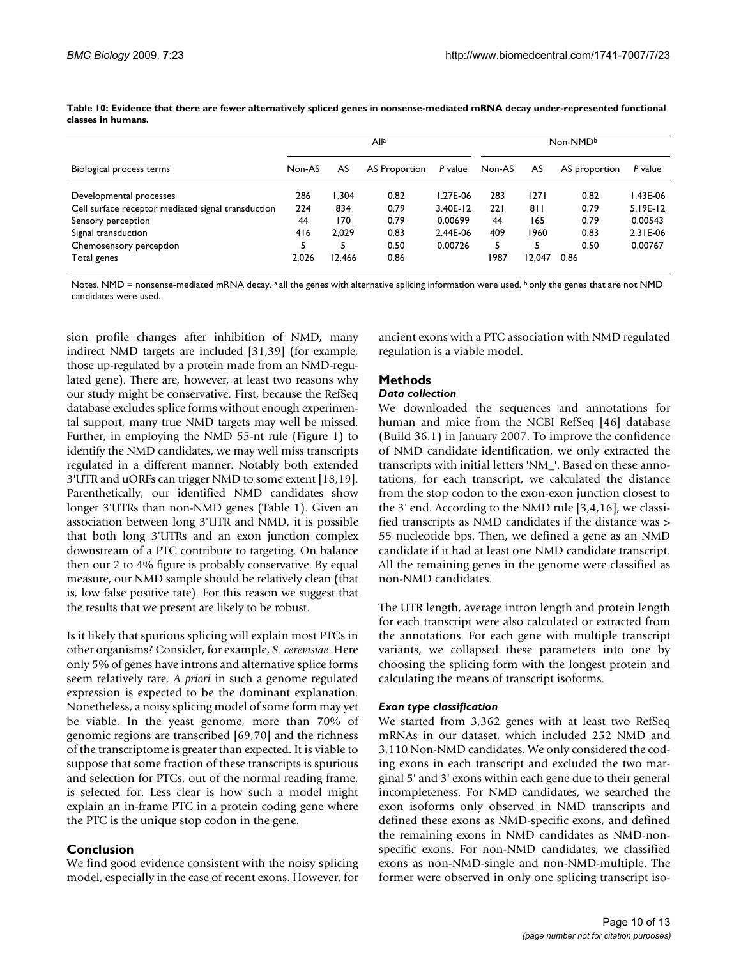|                                                    | All <sup>a</sup> |        |               | Non-NMDb |        |        |               |            |
|----------------------------------------------------|------------------|--------|---------------|----------|--------|--------|---------------|------------|
| Biological process terms                           | Non-AS           | AS     | AS Proportion | P value  | Non-AS | AS     | AS proportion | P value    |
| Developmental processes                            | 286              | 1.304  | 0.82          | l.27E-06 | 283    | 1271   | 0.82          | I.43E-06   |
| Cell surface receptor mediated signal transduction | 224              | 834    | 0.79          | 3.40E-12 | 221    | 811    | 0.79          | $5.19E-12$ |
| Sensory perception                                 | 44               | 170    | 0.79          | 0.00699  | 44     | 165    | 0.79          | 0.00543    |
| Signal transduction                                | 416              | 2.029  | 0.83          | 2.44E-06 | 409    | 1960   | 0.83          | 2.31E-06   |
| Chemosensory perception                            |                  | 5      | 0.50          | 0.00726  | 5      | 5      | 0.50          | 0.00767    |
| Total genes                                        | 2.026            | 12,466 | 0.86          |          | 1987   | 12.047 | 0.86          |            |

**Table 10: Evidence that there are fewer alternatively spliced genes in nonsense-mediated mRNA decay under-represented functional classes in humans.**

Notes. NMD = nonsense-mediated mRNA decay. a all the genes with alternative splicing information were used. b only the genes that are not NMD candidates were used.

sion profile changes after inhibition of NMD, many indirect NMD targets are included [31,39] (for example, those up-regulated by a protein made from an NMD-regulated gene). There are, however, at least two reasons why our study might be conservative. First, because the RefSeq database excludes splice forms without enough experimental support, many true NMD targets may well be missed. Further, in employing the NMD 55-nt rule (Figure 1) to identify the NMD candidates, we may well miss transcripts regulated in a different manner. Notably both extended 3'UTR and uORFs can trigger NMD to some extent [18,19]. Parenthetically, our identified NMD candidates show longer 3'UTRs than non-NMD genes (Table 1). Given an association between long 3'UTR and NMD, it is possible that both long 3'UTRs and an exon junction complex downstream of a PTC contribute to targeting. On balance then our 2 to 4% figure is probably conservative. By equal measure, our NMD sample should be relatively clean (that is, low false positive rate). For this reason we suggest that the results that we present are likely to be robust.

Is it likely that spurious splicing will explain most PTCs in other organisms? Consider, for example, *S. cerevisiae*. Here only 5% of genes have introns and alternative splice forms seem relatively rare. *A priori* in such a genome regulated expression is expected to be the dominant explanation. Nonetheless, a noisy splicing model of some form may yet be viable. In the yeast genome, more than 70% of genomic regions are transcribed [69,70] and the richness of the transcriptome is greater than expected. It is viable to suppose that some fraction of these transcripts is spurious and selection for PTCs, out of the normal reading frame, is selected for. Less clear is how such a model might explain an in-frame PTC in a protein coding gene where the PTC is the unique stop codon in the gene.

### **Conclusion**

We find good evidence consistent with the noisy splicing model, especially in the case of recent exons. However, for ancient exons with a PTC association with NMD regulated regulation is a viable model.

# **Methods**

### *Data collection*

We downloaded the sequences and annotations for human and mice from the NCBI RefSeq [46] database (Build 36.1) in January 2007. To improve the confidence of NMD candidate identification, we only extracted the transcripts with initial letters 'NM\_'. Based on these annotations, for each transcript, we calculated the distance from the stop codon to the exon-exon junction closest to the 3' end. According to the NMD rule [3,4,16], we classified transcripts as NMD candidates if the distance was > 55 nucleotide bps. Then, we defined a gene as an NMD candidate if it had at least one NMD candidate transcript. All the remaining genes in the genome were classified as non-NMD candidates.

The UTR length, average intron length and protein length for each transcript were also calculated or extracted from the annotations. For each gene with multiple transcript variants, we collapsed these parameters into one by choosing the splicing form with the longest protein and calculating the means of transcript isoforms.

### *Exon type classification*

We started from 3,362 genes with at least two RefSeq mRNAs in our dataset, which included 252 NMD and 3,110 Non-NMD candidates. We only considered the coding exons in each transcript and excluded the two marginal 5' and 3' exons within each gene due to their general incompleteness. For NMD candidates, we searched the exon isoforms only observed in NMD transcripts and defined these exons as NMD-specific exons, and defined the remaining exons in NMD candidates as NMD-nonspecific exons. For non-NMD candidates, we classified exons as non-NMD-single and non-NMD-multiple. The former were observed in only one splicing transcript iso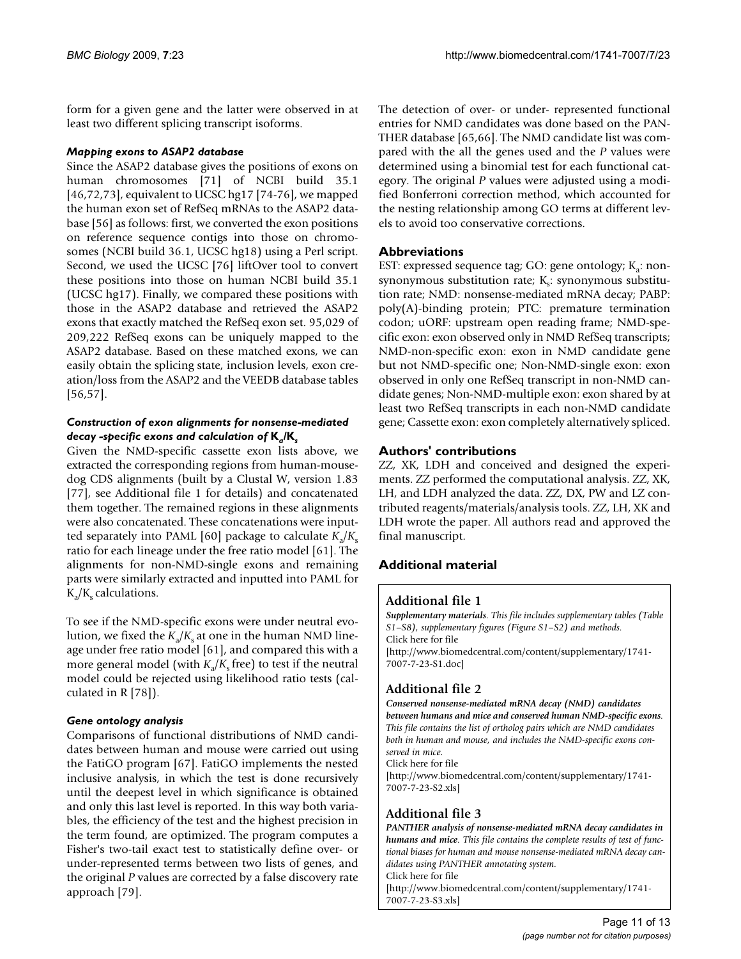form for a given gene and the latter were observed in at least two different splicing transcript isoforms.

### *Mapping exons to ASAP2 database*

Since the ASAP2 database gives the positions of exons on human chromosomes [71] of NCBI build 35.1 [46,72,73], equivalent to UCSC hg17 [74-76], we mapped the human exon set of RefSeq mRNAs to the ASAP2 database [56] as follows: first, we converted the exon positions on reference sequence contigs into those on chromosomes (NCBI build 36.1, UCSC hg18) using a Perl script. Second, we used the UCSC [76] liftOver tool to convert these positions into those on human NCBI build 35.1 (UCSC hg17). Finally, we compared these positions with those in the ASAP2 database and retrieved the ASAP2 exons that exactly matched the RefSeq exon set. 95,029 of 209,222 RefSeq exons can be uniquely mapped to the ASAP2 database. Based on these matched exons, we can easily obtain the splicing state, inclusion levels, exon creation/loss from the ASAP2 and the VEEDB database tables [56,57].

### *Construction of exon alignments for nonsense-mediated decay -specific exons and calculation of* **K***a/***K***<sup>s</sup>*

Given the NMD-specific cassette exon lists above, we extracted the corresponding regions from human-mousedog CDS alignments (built by a Clustal W, version 1.83 [77], see Additional file 1 for details) and concatenated them together. The remained regions in these alignments were also concatenated. These concatenations were inputted separately into PAML [60] package to calculate  $K_a/K_s$ ratio for each lineage under the free ratio model [61]. The alignments for non-NMD-single exons and remaining parts were similarly extracted and inputted into PAML for  $K_a/K_s$  calculations.

To see if the NMD-specific exons were under neutral evolution, we fixed the  $K_a/K_s$  at one in the human NMD lineage under free ratio model [61], and compared this with a more general model (with  $K_a/K_s$  free) to test if the neutral model could be rejected using likelihood ratio tests (calculated in R [78]).

### *Gene ontology analysis*

Comparisons of functional distributions of NMD candidates between human and mouse were carried out using the FatiGO program [67]. FatiGO implements the nested inclusive analysis, in which the test is done recursively until the deepest level in which significance is obtained and only this last level is reported. In this way both variables, the efficiency of the test and the highest precision in the term found, are optimized. The program computes a Fisher's two-tail exact test to statistically define over- or under-represented terms between two lists of genes, and the original *P* values are corrected by a false discovery rate approach [79].

The detection of over- or under- represented functional entries for NMD candidates was done based on the PAN-THER database [65,66]. The NMD candidate list was compared with the all the genes used and the *P* values were determined using a binomial test for each functional category. The original *P* values were adjusted using a modified Bonferroni correction method, which accounted for the nesting relationship among GO terms at different levels to avoid too conservative corrections.

### **Abbreviations**

EST: expressed sequence tag; GO: gene ontology;  $K_a$ : nonsynonymous substitution rate;  $K_s$ : synonymous substitution rate; NMD: nonsense-mediated mRNA decay; PABP: poly(A)-binding protein; PTC: premature termination codon; uORF: upstream open reading frame; NMD-specific exon: exon observed only in NMD RefSeq transcripts; NMD-non-specific exon: exon in NMD candidate gene but not NMD-specific one; Non-NMD-single exon: exon observed in only one RefSeq transcript in non-NMD candidate genes; Non-NMD-multiple exon: exon shared by at least two RefSeq transcripts in each non-NMD candidate gene; Cassette exon: exon completely alternatively spliced.

### **Authors' contributions**

ZZ, XK, LDH and conceived and designed the experiments. ZZ performed the computational analysis. ZZ, XK, LH, and LDH analyzed the data. ZZ, DX, PW and LZ contributed reagents/materials/analysis tools. ZZ, LH, XK and LDH wrote the paper. All authors read and approved the final manuscript.

# **Additional material**

### **Additional file 1**

*Supplementary materials. This file includes supplementary tables (Table S1–S8), supplementary figures (Figure S1–S2) and methods.* Click here for file [\[http://www.biomedcentral.com/content/supplementary/1741-](http://www.biomedcentral.com/content/supplementary/1741-7007-7-23-S1.doc) 7007-7-23-S1.doc]

# **Additional file 2**

*Conserved nonsense-mediated mRNA decay (NMD) candidates between humans and mice and conserved human NMD-specific exons. This file contains the list of ortholog pairs which are NMD candidates both in human and mouse, and includes the NMD-specific exons conserved in mice.*

Click here for file

[\[http://www.biomedcentral.com/content/supplementary/1741-](http://www.biomedcentral.com/content/supplementary/1741-7007-7-23-S2.xls) 7007-7-23-S2.xls]

# **Additional file 3**

*PANTHER analysis of nonsense-mediated mRNA decay candidates in humans and mice. This file contains the complete results of test of functional biases for human and mouse nonsense-mediated mRNA decay candidates using PANTHER annotating system.* Click here for file [\[http://www.biomedcentral.com/content/supplementary/1741-](http://www.biomedcentral.com/content/supplementary/1741-7007-7-23-S3.xls) 7007-7-23-S3.xls]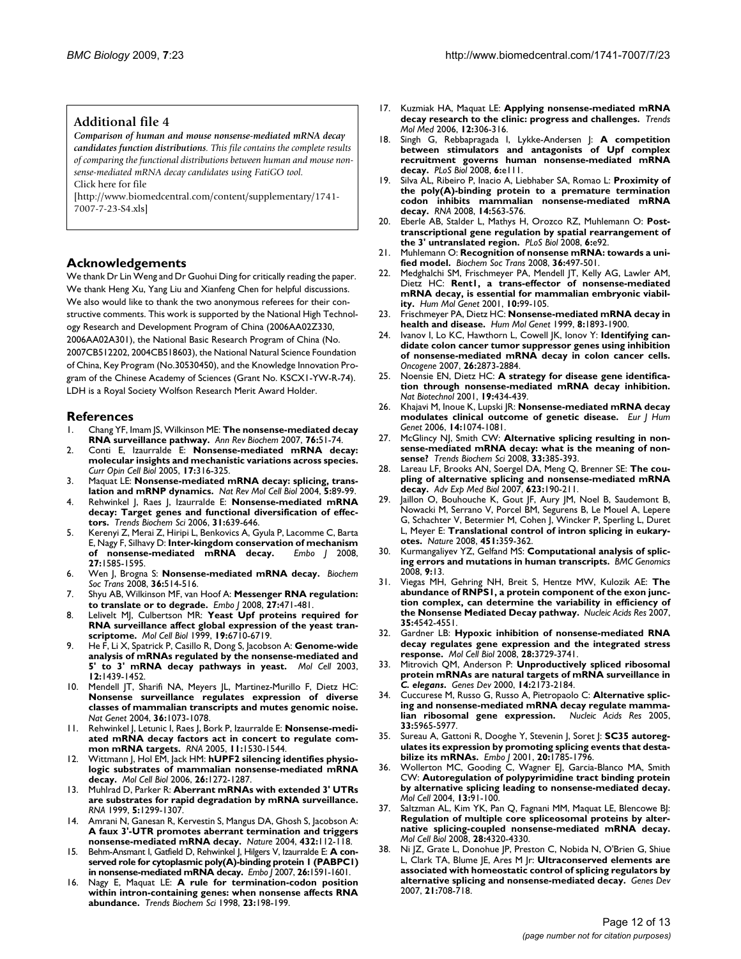### **Additional file 4**

*Comparison of human and mouse nonsense-mediated mRNA decay candidates function distributions. This file contains the complete results of comparing the functional distributions between human and mouse nonsense-mediated mRNA decay candidates using FatiGO tool.* Click here for file

[\[http://www.biomedcentral.com/content/supplementary/1741-](http://www.biomedcentral.com/content/supplementary/1741-7007-7-23-S4.xls) 7007-7-23-S4.xls]

### **Acknowledgements**

We thank Dr Lin Weng and Dr Guohui Ding for critically reading the paper. We thank Heng Xu, Yang Liu and Xianfeng Chen for helpful discussions. We also would like to thank the two anonymous referees for their constructive comments. This work is supported by the National High Technology Research and Development Program of China (2006AA02Z330, 2006AA02A301), the National Basic Research Program of China (No. 2007CB512202, 2004CB518603), the National Natural Science Foundation of China, Key Program (No.30530450), and the Knowledge Innovation Program of the Chinese Academy of Sciences (Grant No. KSCX1-YW-R-74). LDH is a Royal Society Wolfson Research Merit Award Holder.

### **References**

- 1. Chang YF, Imam JS, Wilkinson ME: **[The nonsense-mediated decay](http://www.ncbi.nlm.nih.gov/entrez/query.fcgi?cmd=Retrieve&db=PubMed&dopt=Abstract&list_uids=17352659) [RNA surveillance pathway.](http://www.ncbi.nlm.nih.gov/entrez/query.fcgi?cmd=Retrieve&db=PubMed&dopt=Abstract&list_uids=17352659)** *Ann Rev Biochem* 2007, **76:**51-74.
- 2. Conti E, Izaurralde E: **[Nonsense-mediated mRNA decay:](http://www.ncbi.nlm.nih.gov/entrez/query.fcgi?cmd=Retrieve&db=PubMed&dopt=Abstract&list_uids=15901503) [molecular insights and mechanistic variations across species.](http://www.ncbi.nlm.nih.gov/entrez/query.fcgi?cmd=Retrieve&db=PubMed&dopt=Abstract&list_uids=15901503)** *Curr Opin Cell Biol* 2005, **17:**316-325.
- 3. Maquat LE: **[Nonsense-mediated mRNA decay: splicing, trans](http://www.ncbi.nlm.nih.gov/entrez/query.fcgi?cmd=Retrieve&db=PubMed&dopt=Abstract&list_uids=15040442)[lation and mRNP dynamics.](http://www.ncbi.nlm.nih.gov/entrez/query.fcgi?cmd=Retrieve&db=PubMed&dopt=Abstract&list_uids=15040442)** *Nat Rev Mol Cell Biol* 2004, **5:**89-99.
- 4. Rehwinkel J, Raes J, Izaurralde E: **[Nonsense-mediated mRNA](http://www.ncbi.nlm.nih.gov/entrez/query.fcgi?cmd=Retrieve&db=PubMed&dopt=Abstract&list_uids=17010613) [decay: Target genes and functional diversification of effec](http://www.ncbi.nlm.nih.gov/entrez/query.fcgi?cmd=Retrieve&db=PubMed&dopt=Abstract&list_uids=17010613)[tors.](http://www.ncbi.nlm.nih.gov/entrez/query.fcgi?cmd=Retrieve&db=PubMed&dopt=Abstract&list_uids=17010613)** *Trends Biochem Sci* 2006, **31:**639-646.
- 5. Kerenyi Z, Merai Z, Hiripi L, Benkovics A, Gyula P, Lacomme C, Barta E, Nagy F, Silhavy D: **[Inter-kingdom conservation of mechanism](http://www.ncbi.nlm.nih.gov/entrez/query.fcgi?cmd=Retrieve&db=PubMed&dopt=Abstract&list_uids=18451801) [of nonsense-mediated mRNA decay.](http://www.ncbi.nlm.nih.gov/entrez/query.fcgi?cmd=Retrieve&db=PubMed&dopt=Abstract&list_uids=18451801)** *Embo J* 2008, **27:**1585-1595.
- 6. Wen J, Brogna S: **[Nonsense-mediated mRNA decay.](http://www.ncbi.nlm.nih.gov/entrez/query.fcgi?cmd=Retrieve&db=PubMed&dopt=Abstract&list_uids=18481993)** *Biochem Soc Trans* 2008, **36:**514-516.
- 7. Shyu AB, Wilkinson MF, van Hoof A: **[Messenger RNA regulation:](http://www.ncbi.nlm.nih.gov/entrez/query.fcgi?cmd=Retrieve&db=PubMed&dopt=Abstract&list_uids=18256698) [to translate or to degrade.](http://www.ncbi.nlm.nih.gov/entrez/query.fcgi?cmd=Retrieve&db=PubMed&dopt=Abstract&list_uids=18256698)** *Embo J* 2008, **27:**471-481.
- 8. Lelivelt MJ, Culbertson MR: **[Yeast Upf proteins required for](http://www.ncbi.nlm.nih.gov/entrez/query.fcgi?cmd=Retrieve&db=PubMed&dopt=Abstract&list_uids=10490610) [RNA surveillance affect global expression of the yeast tran](http://www.ncbi.nlm.nih.gov/entrez/query.fcgi?cmd=Retrieve&db=PubMed&dopt=Abstract&list_uids=10490610)[scriptome.](http://www.ncbi.nlm.nih.gov/entrez/query.fcgi?cmd=Retrieve&db=PubMed&dopt=Abstract&list_uids=10490610)** *Mol Cell Biol* 1999, **19:**6710-6719.
- 9. He F, Li X, Spatrick P, Casillo R, Dong S, Jacobson A: **[Genome-wide](http://www.ncbi.nlm.nih.gov/entrez/query.fcgi?cmd=Retrieve&db=PubMed&dopt=Abstract&list_uids=14690598) [analysis of mRNAs regulated by the nonsense-mediated and](http://www.ncbi.nlm.nih.gov/entrez/query.fcgi?cmd=Retrieve&db=PubMed&dopt=Abstract&list_uids=14690598) [5' to 3' mRNA decay pathways in yeast.](http://www.ncbi.nlm.nih.gov/entrez/query.fcgi?cmd=Retrieve&db=PubMed&dopt=Abstract&list_uids=14690598)** *Mol Cell* 2003, **12:**1439-1452.
- 10. Mendell JT, Sharifi NA, Meyers JL, Martinez-Murillo F, Dietz HC: **[Nonsense surveillance regulates expression of diverse](http://www.ncbi.nlm.nih.gov/entrez/query.fcgi?cmd=Retrieve&db=PubMed&dopt=Abstract&list_uids=15448691) classes of mammalian transcripts and mutes genomic noise.** *Nat Genet* 2004, **36:**1073-1078.
- Rehwinkel J, Letunic I, Raes J, Bork P, Izaurralde E: [Nonsense-medi](http://www.ncbi.nlm.nih.gov/entrez/query.fcgi?cmd=Retrieve&db=PubMed&dopt=Abstract&list_uids=16199763)**[ated mRNA decay factors act in concert to regulate com](http://www.ncbi.nlm.nih.gov/entrez/query.fcgi?cmd=Retrieve&db=PubMed&dopt=Abstract&list_uids=16199763)[mon mRNA targets.](http://www.ncbi.nlm.nih.gov/entrez/query.fcgi?cmd=Retrieve&db=PubMed&dopt=Abstract&list_uids=16199763)** *RNA* 2005, **11:**1530-1544.
- 12. Wittmann J, Hol EM, Jack HM: **[hUPF2 silencing identifies physio](http://www.ncbi.nlm.nih.gov/entrez/query.fcgi?cmd=Retrieve&db=PubMed&dopt=Abstract&list_uids=16449641)[logic substrates of mammalian nonsense-mediated mRNA](http://www.ncbi.nlm.nih.gov/entrez/query.fcgi?cmd=Retrieve&db=PubMed&dopt=Abstract&list_uids=16449641) [decay.](http://www.ncbi.nlm.nih.gov/entrez/query.fcgi?cmd=Retrieve&db=PubMed&dopt=Abstract&list_uids=16449641)** *Mol Cell Biol* 2006, **26:**1272-1287.
- 13. Muhlrad D, Parker R: **[Aberrant mRNAs with extended 3' UTRs](http://www.ncbi.nlm.nih.gov/entrez/query.fcgi?cmd=Retrieve&db=PubMed&dopt=Abstract&list_uids=10573121) [are substrates for rapid degradation by mRNA surveillance.](http://www.ncbi.nlm.nih.gov/entrez/query.fcgi?cmd=Retrieve&db=PubMed&dopt=Abstract&list_uids=10573121)** *RNA* 1999, **5:**1299-1307.
- 14. Amrani N, Ganesan R, Kervestin S, Mangus DA, Ghosh S, Jacobson A: **[A faux 3'-UTR promotes aberrant termination and triggers](http://www.ncbi.nlm.nih.gov/entrez/query.fcgi?cmd=Retrieve&db=PubMed&dopt=Abstract&list_uids=15525991) [nonsense-mediated mRNA decay.](http://www.ncbi.nlm.nih.gov/entrez/query.fcgi?cmd=Retrieve&db=PubMed&dopt=Abstract&list_uids=15525991)** *Nature* 2004, **432:**112-118.
- 15. Behm-Ansmant I, Gatfield D, Rehwinkel J, Hilgers V, Izaurralde E: **[A con](http://www.ncbi.nlm.nih.gov/entrez/query.fcgi?cmd=Retrieve&db=PubMed&dopt=Abstract&list_uids=17318186)[served role for cytoplasmic poly\(A\)-binding protein 1 \(PABPC1\)](http://www.ncbi.nlm.nih.gov/entrez/query.fcgi?cmd=Retrieve&db=PubMed&dopt=Abstract&list_uids=17318186) [in nonsense-mediated mRNA decay.](http://www.ncbi.nlm.nih.gov/entrez/query.fcgi?cmd=Retrieve&db=PubMed&dopt=Abstract&list_uids=17318186)** *Embo J* 2007, **26:**1591-1601.
- 16. Nagy E, Maquat LE: **[A rule for termination-codon position](http://www.ncbi.nlm.nih.gov/entrez/query.fcgi?cmd=Retrieve&db=PubMed&dopt=Abstract&list_uids=9644970) [within intron-containing genes: when nonsense affects RNA](http://www.ncbi.nlm.nih.gov/entrez/query.fcgi?cmd=Retrieve&db=PubMed&dopt=Abstract&list_uids=9644970) [abundance.](http://www.ncbi.nlm.nih.gov/entrez/query.fcgi?cmd=Retrieve&db=PubMed&dopt=Abstract&list_uids=9644970)** *Trends Biochem Sci* 1998, **23:**198-199.
- 17. Kuzmiak HA, Maquat LE: **[Applying nonsense-mediated mRNA](http://www.ncbi.nlm.nih.gov/entrez/query.fcgi?cmd=Retrieve&db=PubMed&dopt=Abstract&list_uids=16782405) [decay research to the clinic: progress and challenges.](http://www.ncbi.nlm.nih.gov/entrez/query.fcgi?cmd=Retrieve&db=PubMed&dopt=Abstract&list_uids=16782405)** *Trends Mol Med* 2006, **12:**306-316.
- 18. Singh G, Rebbapragada I, Lykke-Andersen J: **[A competition](http://www.ncbi.nlm.nih.gov/entrez/query.fcgi?cmd=Retrieve&db=PubMed&dopt=Abstract&list_uids=18447585) [between stimulators and antagonists of Upf complex](http://www.ncbi.nlm.nih.gov/entrez/query.fcgi?cmd=Retrieve&db=PubMed&dopt=Abstract&list_uids=18447585) recruitment governs human nonsense-mediated mRNA [decay.](http://www.ncbi.nlm.nih.gov/entrez/query.fcgi?cmd=Retrieve&db=PubMed&dopt=Abstract&list_uids=18447585)** *PLoS Biol* 2008, **6:**e111.
- 19. Silva AL, Ribeiro P, Inacio A, Liebhaber SA, Romao L: **[Proximity of](http://www.ncbi.nlm.nih.gov/entrez/query.fcgi?cmd=Retrieve&db=PubMed&dopt=Abstract&list_uids=18230761) [the poly\(A\)-binding protein to a premature termination](http://www.ncbi.nlm.nih.gov/entrez/query.fcgi?cmd=Retrieve&db=PubMed&dopt=Abstract&list_uids=18230761) codon inhibits mammalian nonsense-mediated mRNA [decay.](http://www.ncbi.nlm.nih.gov/entrez/query.fcgi?cmd=Retrieve&db=PubMed&dopt=Abstract&list_uids=18230761)** *RNA* 2008, **14:**563-576.
- 20. Eberle AB, Stalder L, Mathys H, Orozco RZ, Muhlemann O: **[Post](http://www.ncbi.nlm.nih.gov/entrez/query.fcgi?cmd=Retrieve&db=PubMed&dopt=Abstract&list_uids=18447580)[transcriptional gene regulation by spatial rearrangement of](http://www.ncbi.nlm.nih.gov/entrez/query.fcgi?cmd=Retrieve&db=PubMed&dopt=Abstract&list_uids=18447580) [the 3' untranslated region.](http://www.ncbi.nlm.nih.gov/entrez/query.fcgi?cmd=Retrieve&db=PubMed&dopt=Abstract&list_uids=18447580)** *PLoS Biol* 2008, **6:**e92.
- 21. Muhlemann O: **[Recognition of nonsense mRNA: towards a uni](http://www.ncbi.nlm.nih.gov/entrez/query.fcgi?cmd=Retrieve&db=PubMed&dopt=Abstract&list_uids=18481988)[fied model.](http://www.ncbi.nlm.nih.gov/entrez/query.fcgi?cmd=Retrieve&db=PubMed&dopt=Abstract&list_uids=18481988)** *Biochem Soc Trans* 2008, **36:**497-501.
- 22. Medghalchi SM, Frischmeyer PA, Mendell JT, Kelly AG, Lawler AM, Dietz HC: **[Rent1, a trans-effector of nonsense-mediated](http://www.ncbi.nlm.nih.gov/entrez/query.fcgi?cmd=Retrieve&db=PubMed&dopt=Abstract&list_uids=11152657) [mRNA decay, is essential for mammalian embryonic viabil](http://www.ncbi.nlm.nih.gov/entrez/query.fcgi?cmd=Retrieve&db=PubMed&dopt=Abstract&list_uids=11152657)[ity.](http://www.ncbi.nlm.nih.gov/entrez/query.fcgi?cmd=Retrieve&db=PubMed&dopt=Abstract&list_uids=11152657)** *Hum Mol Genet* 2001, **10:**99-105.
- 23. Frischmeyer PA, Dietz HC: **[Nonsense-mediated mRNA decay in](http://www.ncbi.nlm.nih.gov/entrez/query.fcgi?cmd=Retrieve&db=PubMed&dopt=Abstract&list_uids=10469842) [health and disease.](http://www.ncbi.nlm.nih.gov/entrez/query.fcgi?cmd=Retrieve&db=PubMed&dopt=Abstract&list_uids=10469842)** *Hum Mol Genet* 1999, **8:**1893-1900.
- 24. Ivanov I, Lo KC, Hawthorn L, Cowell JK, Ionov Y: **[Identifying can](http://www.ncbi.nlm.nih.gov/entrez/query.fcgi?cmd=Retrieve&db=PubMed&dopt=Abstract&list_uids=17086209)[didate colon cancer tumor suppressor genes using inhibition](http://www.ncbi.nlm.nih.gov/entrez/query.fcgi?cmd=Retrieve&db=PubMed&dopt=Abstract&list_uids=17086209) of nonsense-mediated mRNA decay in colon cancer cells.** *Oncogene* 2007, **26:**2873-2884.
- 25. Noensie EN, Dietz HC: **[A strategy for disease gene identifica](http://www.ncbi.nlm.nih.gov/entrez/query.fcgi?cmd=Retrieve&db=PubMed&dopt=Abstract&list_uids=11329012)[tion through nonsense-mediated mRNA decay inhibition.](http://www.ncbi.nlm.nih.gov/entrez/query.fcgi?cmd=Retrieve&db=PubMed&dopt=Abstract&list_uids=11329012)** *Nat Biotechnol* 2001, **19:**434-439.
- 26. Khajavi M, Inoue K, Lupski JR: **[Nonsense-mediated mRNA decay](http://www.ncbi.nlm.nih.gov/entrez/query.fcgi?cmd=Retrieve&db=PubMed&dopt=Abstract&list_uids=16757948) [modulates clinical outcome of genetic disease.](http://www.ncbi.nlm.nih.gov/entrez/query.fcgi?cmd=Retrieve&db=PubMed&dopt=Abstract&list_uids=16757948)** *Eur J Hum Genet* 2006, **14:**1074-1081.
- 27. McGlincy NJ, Smith CW: **[Alternative splicing resulting in non](http://www.ncbi.nlm.nih.gov/entrez/query.fcgi?cmd=Retrieve&db=PubMed&dopt=Abstract&list_uids=18621535)[sense-mediated mRNA decay: what is the meaning of non](http://www.ncbi.nlm.nih.gov/entrez/query.fcgi?cmd=Retrieve&db=PubMed&dopt=Abstract&list_uids=18621535)[sense?](http://www.ncbi.nlm.nih.gov/entrez/query.fcgi?cmd=Retrieve&db=PubMed&dopt=Abstract&list_uids=18621535)** *Trends Biochem Sci* 2008, **33:**385-393.
- 28. Lareau LF, Brooks AN, Soergel DA, Meng Q, Brenner SE: **[The cou](http://www.ncbi.nlm.nih.gov/entrez/query.fcgi?cmd=Retrieve&db=PubMed&dopt=Abstract&list_uids=18380348)[pling of alternative splicing and nonsense-mediated mRNA](http://www.ncbi.nlm.nih.gov/entrez/query.fcgi?cmd=Retrieve&db=PubMed&dopt=Abstract&list_uids=18380348) [decay.](http://www.ncbi.nlm.nih.gov/entrez/query.fcgi?cmd=Retrieve&db=PubMed&dopt=Abstract&list_uids=18380348)** *Adv Exp Med Biol* 2007, **623:**190-211.
- 29. Jaillon O, Bouhouche K, Gout JF, Aury JM, Noel B, Saudemont B, Nowacki M, Serrano V, Porcel BM, Segurens B, Le Mouel A, Lepere G, Schachter V, Betermier M, Cohen J, Wincker P, Sperling L, Duret L, Meyer E: **[Translational control of intron splicing in eukary](http://www.ncbi.nlm.nih.gov/entrez/query.fcgi?cmd=Retrieve&db=PubMed&dopt=Abstract&list_uids=18202663)[otes.](http://www.ncbi.nlm.nih.gov/entrez/query.fcgi?cmd=Retrieve&db=PubMed&dopt=Abstract&list_uids=18202663)** *Nature* 2008, **451:**359-362.
- 30. Kurmangaliyev YZ, Gelfand MS: **[Computational analysis of splic](http://www.ncbi.nlm.nih.gov/entrez/query.fcgi?cmd=Retrieve&db=PubMed&dopt=Abstract&list_uids=18194514)[ing errors and mutations in human transcripts.](http://www.ncbi.nlm.nih.gov/entrez/query.fcgi?cmd=Retrieve&db=PubMed&dopt=Abstract&list_uids=18194514)** *BMC Genomics* 2008, **9:**13.
- 31. Viegas MH, Gehring NH, Breit S, Hentze MW, Kulozik AE: **[The](http://www.ncbi.nlm.nih.gov/entrez/query.fcgi?cmd=Retrieve&db=PubMed&dopt=Abstract&list_uids=17586820) [abundance of RNPS1, a protein component of the exon junc](http://www.ncbi.nlm.nih.gov/entrez/query.fcgi?cmd=Retrieve&db=PubMed&dopt=Abstract&list_uids=17586820)tion complex, can determine the variability in efficiency of [the Nonsense Mediated Decay pathway.](http://www.ncbi.nlm.nih.gov/entrez/query.fcgi?cmd=Retrieve&db=PubMed&dopt=Abstract&list_uids=17586820)** *Nucleic Acids Res* 2007, **35:**4542-4551.
- 32. Gardner LB: **[Hypoxic inhibition of nonsense-mediated RNA](http://www.ncbi.nlm.nih.gov/entrez/query.fcgi?cmd=Retrieve&db=PubMed&dopt=Abstract&list_uids=18362164) [decay regulates gene expression and the integrated stress](http://www.ncbi.nlm.nih.gov/entrez/query.fcgi?cmd=Retrieve&db=PubMed&dopt=Abstract&list_uids=18362164) [response.](http://www.ncbi.nlm.nih.gov/entrez/query.fcgi?cmd=Retrieve&db=PubMed&dopt=Abstract&list_uids=18362164)** *Mol Cell Biol* 2008, **28:**3729-3741.
- 33. Mitrovich QM, Anderson P: **Unproductively spliced ribosomal protein mRNAs are natural targets of mRNA surveillance in** *C. elegans***[.](http://www.ncbi.nlm.nih.gov/entrez/query.fcgi?cmd=Retrieve&db=PubMed&dopt=Abstract&list_uids=10970881)** *Genes Dev* 2000, **14:**2173-2184.
- 34. Cuccurese M, Russo G, Russo A, Pietropaolo C: **[Alternative splic](http://www.ncbi.nlm.nih.gov/entrez/query.fcgi?cmd=Retrieve&db=PubMed&dopt=Abstract&list_uids=16254077)[ing and nonsense-mediated mRNA decay regulate mamma](http://www.ncbi.nlm.nih.gov/entrez/query.fcgi?cmd=Retrieve&db=PubMed&dopt=Abstract&list_uids=16254077)[lian ribosomal gene expression.](http://www.ncbi.nlm.nih.gov/entrez/query.fcgi?cmd=Retrieve&db=PubMed&dopt=Abstract&list_uids=16254077)** *Nucleic Acids Res* 2005, **33:**5965-5977.
- 35. Sureau A, Gattoni R, Dooghe Y, Stevenin J, Soret J: **[SC35 autoreg](http://www.ncbi.nlm.nih.gov/entrez/query.fcgi?cmd=Retrieve&db=PubMed&dopt=Abstract&list_uids=11285241)[ulates its expression by promoting splicing events that desta](http://www.ncbi.nlm.nih.gov/entrez/query.fcgi?cmd=Retrieve&db=PubMed&dopt=Abstract&list_uids=11285241)[bilize its mRNAs.](http://www.ncbi.nlm.nih.gov/entrez/query.fcgi?cmd=Retrieve&db=PubMed&dopt=Abstract&list_uids=11285241)** *Embo J* 2001, **20:**1785-1796.
- 36. Wollerton MC, Gooding C, Wagner EJ, Garcia-Blanco MA, Smith CW: **[Autoregulation of polypyrimidine tract binding protein](http://www.ncbi.nlm.nih.gov/entrez/query.fcgi?cmd=Retrieve&db=PubMed&dopt=Abstract&list_uids=14731397) [by alternative splicing leading to nonsense-mediated decay.](http://www.ncbi.nlm.nih.gov/entrez/query.fcgi?cmd=Retrieve&db=PubMed&dopt=Abstract&list_uids=14731397)** *Mol Cell* 2004, **13:**91-100.
- Saltzman AL, Kim YK, Pan Q, Fagnani MM, Maquat LE, Blencowe BJ: **[Regulation of multiple core spliceosomal proteins by alter](http://www.ncbi.nlm.nih.gov/entrez/query.fcgi?cmd=Retrieve&db=PubMed&dopt=Abstract&list_uids=18443041)native splicing-coupled nonsense-mediated mRNA decay.** *Mol Cell Biol* 2008, **28:**4320-4330.
- 38. Ni JZ, Grate L, Donohue JP, Preston C, Nobida N, O'Brien G, Shiue L, Clark TA, Blume JE, Ares M Jr: **[Ultraconserved elements are](http://www.ncbi.nlm.nih.gov/entrez/query.fcgi?cmd=Retrieve&db=PubMed&dopt=Abstract&list_uids=17369403) [associated with homeostatic control of splicing regulators by](http://www.ncbi.nlm.nih.gov/entrez/query.fcgi?cmd=Retrieve&db=PubMed&dopt=Abstract&list_uids=17369403) [alternative splicing and nonsense-mediated decay.](http://www.ncbi.nlm.nih.gov/entrez/query.fcgi?cmd=Retrieve&db=PubMed&dopt=Abstract&list_uids=17369403)** *Genes Dev* 2007, **21:**708-718.